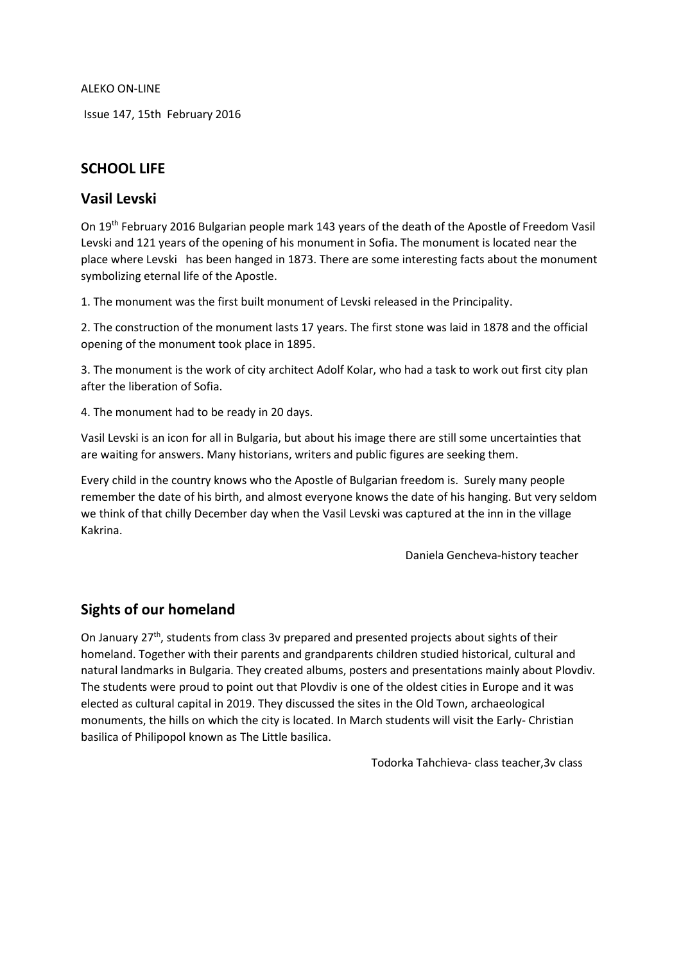ALEKO ON-LINE

Issue 147, 15th February 2016

# **SCHOOL LIFE**

### **Vasil Levski**

On 19th February 2016 Bulgarian people mark 143 years of the death of the Apostle of Freedom Vasil Levski and 121 years of the opening of his monument in Sofia. The monument is located near the place where Levski has been hanged in 1873. There are some interesting facts about the monument symbolizing eternal life of the Apostle.

1. The monument was the first built monument of Levski released in the Principality.

2. The construction of the monument lasts 17 years. The first stone was laid in 1878 and the official opening of the monument took place in 1895.

3. The monument is the work of city architect Adolf Kolar, who had a task to work out first city plan after the liberation of Sofia.

4. The monument had to be ready in 20 days.

Vasil Levski is an icon for all in Bulgaria, but about his image there are still some uncertainties that are waiting for answers. Many historians, writers and public figures are seeking them.

Every child in the country knows who the Apostle of Bulgarian freedom is. Surely many people remember the date of his birth, and almost everyone knows the date of his hanging. But very seldom we think of that chilly December day when the Vasil Levski was captured at the inn in the village Kakrina.

Daniela Gencheva-history teacher

## **Sights of our homeland**

On January  $27<sup>th</sup>$ , students from class 3v prepared and presented projects about sights of their homeland. Together with their parents and grandparents children studied historical, cultural and natural landmarks in Bulgaria. They created albums, posters and presentations mainly about Plovdiv. The students were proud to point out that Plovdiv is one of the oldest cities in Europe and it was elected as cultural capital in 2019. They discussed the sites in the Old Town, archaeological monuments, the hills on which the city is located. In March students will visit the Early- Christian basilica of Philipopol known as The Little basilica.

Todorka Tahchieva- class teacher,3v class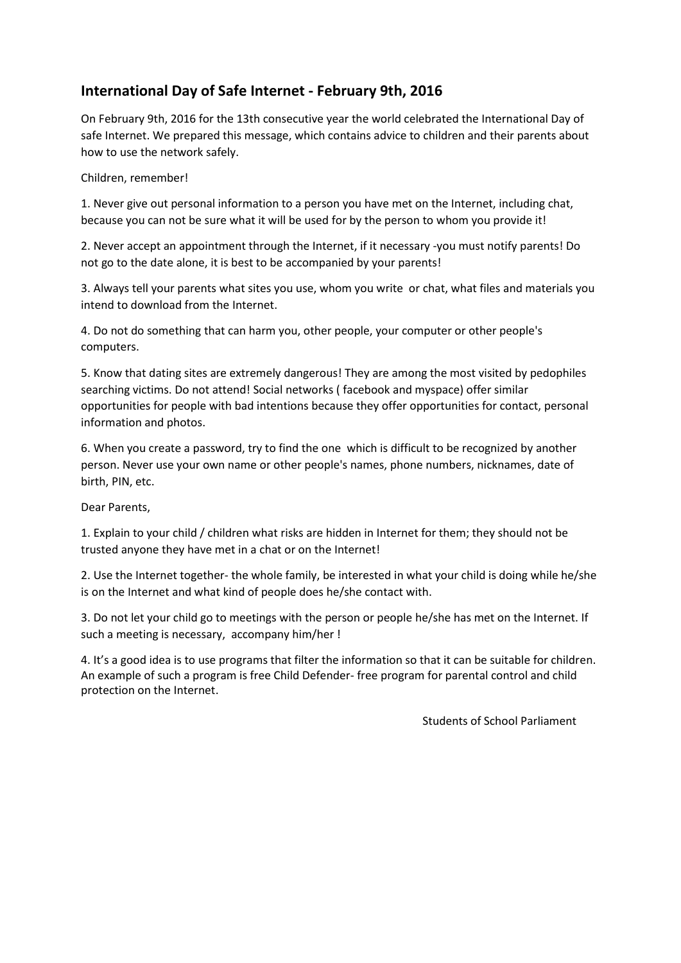# **International Day of Safe Internet - February 9th, 2016**

On February 9th, 2016 for the 13th consecutive year the world celebrated the International Day of safe Internet. We prepared this message, which contains advice to children and their parents about how to use the network safely.

#### Children, remember!

1. Never give out personal information to a person you have met on the Internet, including chat, because you can not be sure what it will be used for by the person to whom you provide it!

2. Never accept an appointment through the Internet, if it necessary -you must notify parents! Do not go to the date alone, it is best to be accompanied by your parents!

3. Always tell your parents what sites you use, whom you write or chat, what files and materials you intend to download from the Internet.

4. Do not do something that can harm you, other people, your computer or other people's computers.

5. Know that dating sites are extremely dangerous! They are among the most visited by pedophiles searching victims. Do not attend! Social networks ( facebook and myspace) offer similar opportunities for people with bad intentions because they offer opportunities for contact, personal information and photos.

6. When you create a password, try to find the one which is difficult to be recognized by another person. Never use your own name or other people's names, phone numbers, nicknames, date of birth, PIN, etc.

Dear Parents,

1. Explain to your child / children what risks are hidden in Internet for them; they should not be trusted anyone they have met in a chat or on the Internet!

2. Use the Internet together- the whole family, be interested in what your child is doing while he/she is on the Internet and what kind of people does he/she contact with.

3. Do not let your child go to meetings with the person or people he/she has met on the Internet. If such a meeting is necessary, accompany him/her !

4. It's a good idea is to use programs that filter the information so that it can be suitable for children. An example of such a program is free Child Defender- free program for parental control and child protection on the Internet.

Students of School Parliament